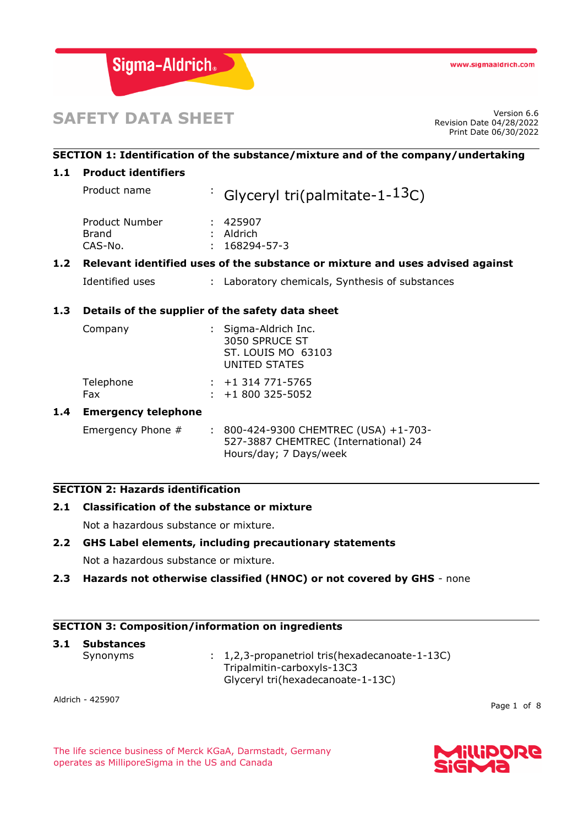

# **SAFETY DATA SHEET**

Revision Date 04/28/2022 Print Date 06/30/2022

# **SECTION 1: Identification of the substance/mixture and of the company/undertaking**

## **1.1 Product identifiers**

Product name  $\qquad$ : Glyceryl tri(palmitate-1-13C)

| : 425907            |
|---------------------|
| $:$ Aldrich         |
| $: 168294 - 57 - 3$ |
|                     |

## **1.2 Relevant identified uses of the substance or mixture and uses advised against**

Hours/day; 7 Days/week

| Identified uses |  |  |  |  |  | Laboratory chemicals, Synthesis of substances |
|-----------------|--|--|--|--|--|-----------------------------------------------|
|-----------------|--|--|--|--|--|-----------------------------------------------|

## **1.3 Details of the supplier of the safety data sheet**

|     | Company                    | : Sigma-Aldrich Inc.<br>3050 SPRUCE ST<br><b>ST. LOUIS MO 63103</b><br><b>UNITED STATES</b> |
|-----|----------------------------|---------------------------------------------------------------------------------------------|
|     | Telephone<br>Fax           | $: +1314771 - 5765$<br>$: +1800325 - 5052$                                                  |
| 1.4 | <b>Emergency telephone</b> |                                                                                             |
|     | Emergency Phone #          | : 800-424-9300 CHEMTREC (USA) +1-703-<br>527-3887 CHEMTREC (International) 24               |

## **SECTION 2: Hazards identification**

## **2.1 Classification of the substance or mixture**

Not a hazardous substance or mixture.

## **2.2 GHS Label elements, including precautionary statements**

Not a hazardous substance or mixture.

## **2.3 Hazards not otherwise classified (HNOC) or not covered by GHS** - none

Glyceryl tri(hexadecanoate-1-13C)

## **SECTION 3: Composition/information on ingredients**

## **3.1 Substances** Synonyms : 1,2,3-propanetriol tris(hexadecanoate-1-13C) Tripalmitin-carboxyls-13C3

Aldrich - 425907

Page 1 of 8

The life science business of Merck KGaA, Darmstadt, Germany operates as MilliporeSigma in the US and Canada

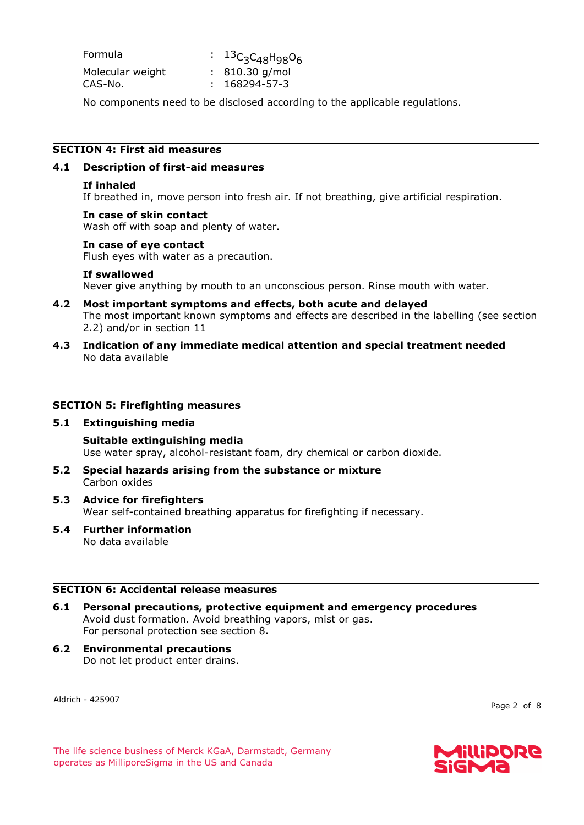| Formula          | $: 13$ C <sub>3</sub> C <sub>48</sub> H <sub>98</sub> O <sub>6</sub> |
|------------------|----------------------------------------------------------------------|
| Molecular weight | $: 810.30$ g/mol                                                     |
| CAS-No.          | $: 168294 - 57 - 3$                                                  |

No components need to be disclosed according to the applicable regulations.

#### **SECTION 4: First aid measures**

#### **4.1 Description of first-aid measures**

## **If inhaled**

If breathed in, move person into fresh air. If not breathing, give artificial respiration.

#### **In case of skin contact**

Wash off with soap and plenty of water.

#### **In case of eye contact**

Flush eyes with water as a precaution.

#### **If swallowed**

Never give anything by mouth to an unconscious person. Rinse mouth with water.

- **4.2 Most important symptoms and effects, both acute and delayed** The most important known symptoms and effects are described in the labelling (see section 2.2) and/or in section 11
- **4.3 Indication of any immediate medical attention and special treatment needed** No data available

#### **SECTION 5: Firefighting measures**

#### **5.1 Extinguishing media**

**Suitable extinguishing media** Use water spray, alcohol-resistant foam, dry chemical or carbon dioxide.

- **5.2 Special hazards arising from the substance or mixture** Carbon oxides
- **5.3 Advice for firefighters** Wear self-contained breathing apparatus for firefighting if necessary.
- **5.4 Further information** No data available

#### **SECTION 6: Accidental release measures**

- **6.1 Personal precautions, protective equipment and emergency procedures** Avoid dust formation. Avoid breathing vapors, mist or gas. For personal protection see section 8.
- **6.2 Environmental precautions** Do not let product enter drains.

Aldrich - 425907

Page 2 of 8

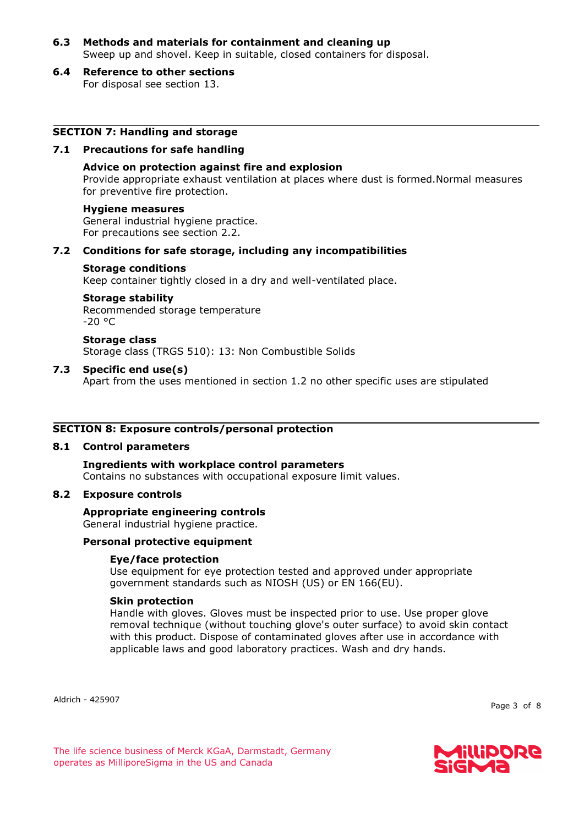- **6.3 Methods and materials for containment and cleaning up** Sweep up and shovel. Keep in suitable, closed containers for disposal.
- **6.4 Reference to other sections** For disposal see section 13.

## **SECTION 7: Handling and storage**

## **7.1 Precautions for safe handling**

#### **Advice on protection against fire and explosion** Provide appropriate exhaust ventilation at places where dust is formed.Normal measures for preventive fire protection.

## **Hygiene measures**

General industrial hygiene practice. For precautions see section 2.2.

## **7.2 Conditions for safe storage, including any incompatibilities**

#### **Storage conditions**

Keep container tightly closed in a dry and well-ventilated place.

#### **Storage stability**

Recommended storage temperature  $-20 °C$ 

#### **Storage class**

Storage class (TRGS 510): 13: Non Combustible Solids

## **7.3 Specific end use(s)**

Apart from the uses mentioned in section 1.2 no other specific uses are stipulated

## **SECTION 8: Exposure controls/personal protection**

#### **8.1 Control parameters**

## **Ingredients with workplace control parameters**

Contains no substances with occupational exposure limit values.

## **8.2 Exposure controls**

## **Appropriate engineering controls**

General industrial hygiene practice.

## **Personal protective equipment**

## **Eye/face protection**

Use equipment for eye protection tested and approved under appropriate government standards such as NIOSH (US) or EN 166(EU).

#### **Skin protection**

Handle with gloves. Gloves must be inspected prior to use. Use proper glove removal technique (without touching glove's outer surface) to avoid skin contact with this product. Dispose of contaminated gloves after use in accordance with applicable laws and good laboratory practices. Wash and dry hands.

Aldrich - 425907

Page 3 of 8

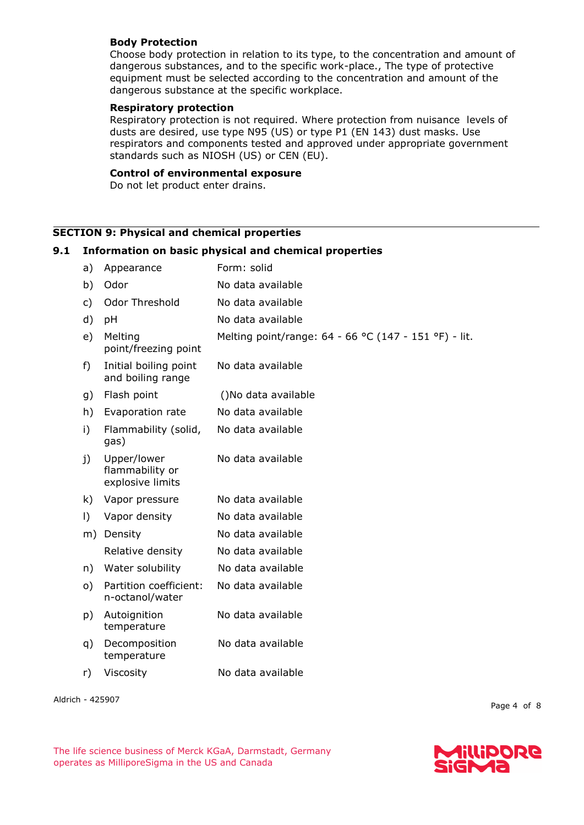## **Body Protection**

Choose body protection in relation to its type, to the concentration and amount of dangerous substances, and to the specific work-place., The type of protective equipment must be selected according to the concentration and amount of the dangerous substance at the specific workplace.

## **Respiratory protection**

Respiratory protection is not required. Where protection from nuisance levels of dusts are desired, use type N95 (US) or type P1 (EN 143) dust masks. Use respirators and components tested and approved under appropriate government standards such as NIOSH (US) or CEN (EU).

#### **Control of environmental exposure**

Do not let product enter drains.

## **SECTION 9: Physical and chemical properties**

## **9.1 Information on basic physical and chemical properties**

| a) | Appearance                                         | Form: solid                                           |
|----|----------------------------------------------------|-------------------------------------------------------|
| b) | Odor                                               | No data available                                     |
| c) | Odor Threshold                                     | No data available                                     |
| d) | pH                                                 | No data available                                     |
| e) | Melting<br>point/freezing point                    | Melting point/range: 64 - 66 °C (147 - 151 °F) - lit. |
| f) | Initial boiling point<br>and boiling range         | No data available                                     |
| g) | Flash point                                        | ()No data available                                   |
| h) | Evaporation rate                                   | No data available                                     |
| i) | Flammability (solid,<br>gas)                       | No data available                                     |
| j) | Upper/lower<br>flammability or<br>explosive limits | No data available                                     |
| k) | Vapor pressure                                     | No data available                                     |
| I) | Vapor density                                      | No data available                                     |
| m) | Density                                            | No data available                                     |
|    | Relative density                                   | No data available                                     |
| n) | Water solubility                                   | No data available                                     |
| o) | Partition coefficient:<br>n-octanol/water          | No data available                                     |
| p) | Autoignition<br>temperature                        | No data available                                     |
| q) | Decomposition<br>temperature                       | No data available                                     |
| r) | Viscosity                                          | No data available                                     |

Aldrich - 425907

Page 4 of 8

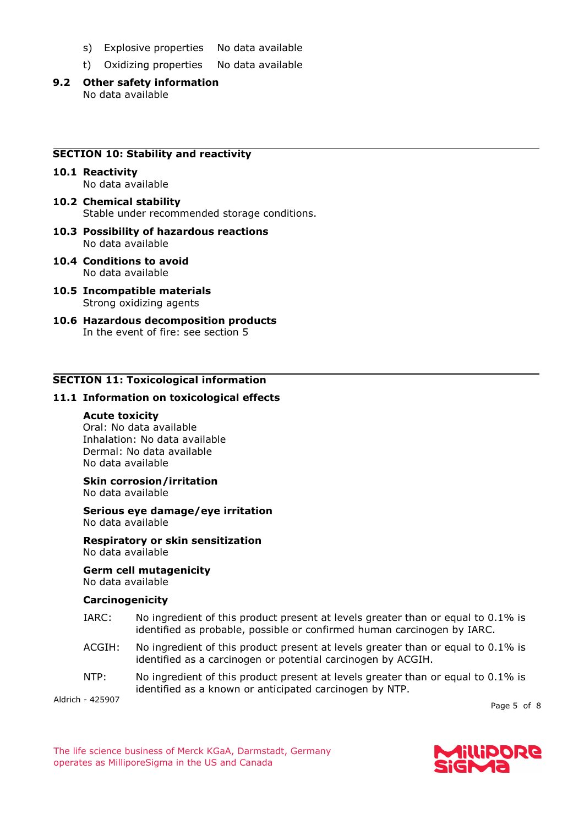- s) Explosive properties No data available
- t) Oxidizing properties No data available
- **9.2 Other safety information** No data available

#### **SECTION 10: Stability and reactivity**

- **10.1 Reactivity** No data available
- **10.2 Chemical stability** Stable under recommended storage conditions.
- **10.3 Possibility of hazardous reactions** No data available
- **10.4 Conditions to avoid** No data available
- **10.5 Incompatible materials** Strong oxidizing agents
- **10.6 Hazardous decomposition products** In the event of fire: see section 5

## **SECTION 11: Toxicological information**

#### **11.1 Information on toxicological effects**

#### **Acute toxicity**

Oral: No data available Inhalation: No data available Dermal: No data available No data available

#### **Skin corrosion/irritation** No data available

**Serious eye damage/eye irritation** No data available

**Respiratory or skin sensitization** No data available

**Germ cell mutagenicity** No data available

#### **Carcinogenicity**

- IARC: No ingredient of this product present at levels greater than or equal to 0.1% is identified as probable, possible or confirmed human carcinogen by IARC.
- ACGIH: No ingredient of this product present at levels greater than or equal to 0.1% is identified as a carcinogen or potential carcinogen by ACGIH.
- NTP: No ingredient of this product present at levels greater than or equal to 0.1% is identified as a known or anticipated carcinogen by NTP.

Aldrich - 425907

Page 5 of 8

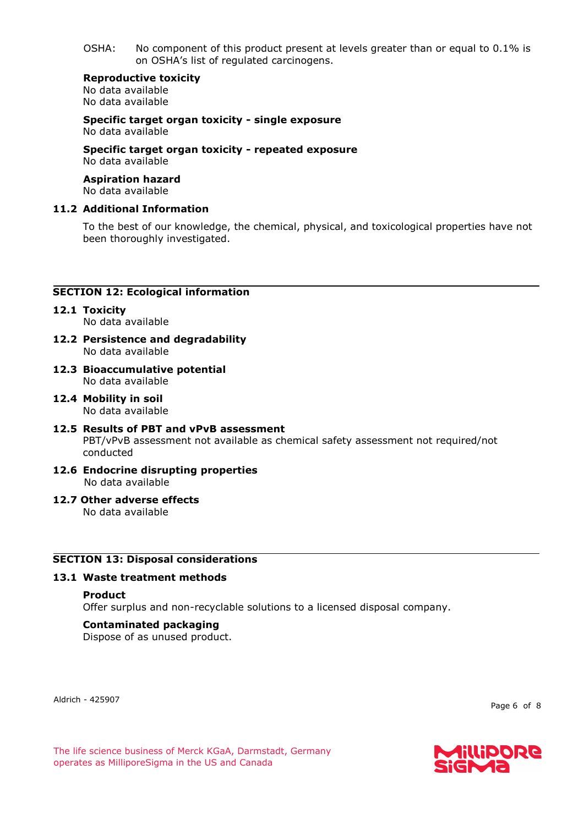OSHA: No component of this product present at levels greater than or equal to 0.1% is on OSHA's list of regulated carcinogens.

#### **Reproductive toxicity**

No data available No data available

**Specific target organ toxicity - single exposure** No data available

**Specific target organ toxicity - repeated exposure** No data available

# **Aspiration hazard**

No data available

## **11.2 Additional Information**

To the best of our knowledge, the chemical, physical, and toxicological properties have not been thoroughly investigated.

## **SECTION 12: Ecological information**

- **12.1 Toxicity** No data available
- **12.2 Persistence and degradability** No data available
- **12.3 Bioaccumulative potential** No data available
- **12.4 Mobility in soil** No data available
- **12.5 Results of PBT and vPvB assessment** PBT/vPvB assessment not available as chemical safety assessment not required/not conducted
- **12.6 Endocrine disrupting properties** No data available
- **12.7 Other adverse effects**

No data available

## **SECTION 13: Disposal considerations**

## **13.1 Waste treatment methods**

## **Product**

Offer surplus and non-recyclable solutions to a licensed disposal company.

## **Contaminated packaging**

Dispose of as unused product.

Aldrich - 425907

Page 6 of 8



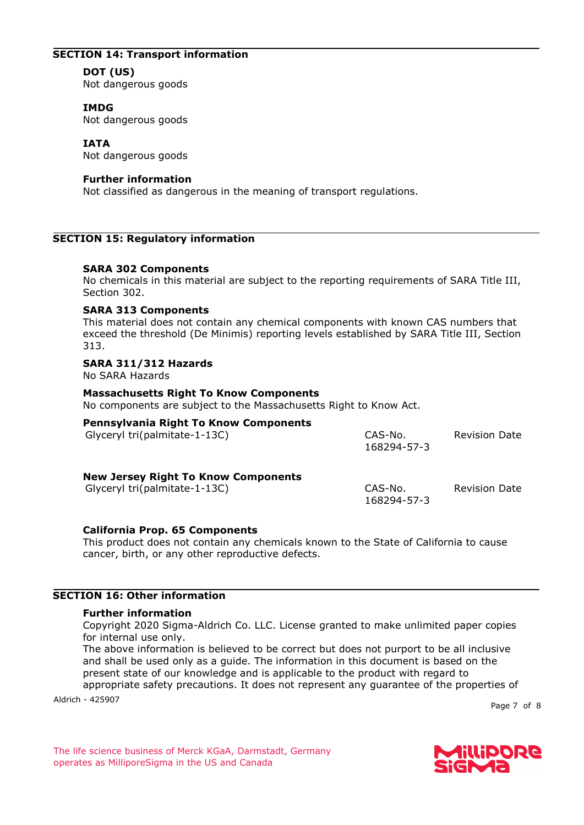## **SECTION 14: Transport information**

## **DOT (US)**

Not dangerous goods

## **IMDG**

Not dangerous goods

## **IATA**

Not dangerous goods

## **Further information**

Not classified as dangerous in the meaning of transport regulations.

## **SECTION 15: Regulatory information**

## **SARA 302 Components**

No chemicals in this material are subject to the reporting requirements of SARA Title III, Section 302.

## **SARA 313 Components**

This material does not contain any chemical components with known CAS numbers that exceed the threshold (De Minimis) reporting levels established by SARA Title III, Section 313.

#### **SARA 311/312 Hazards**

No SARA Hazards

## **Massachusetts Right To Know Components**

No components are subject to the Massachusetts Right to Know Act.

#### **Pennsylvania Right To Know Components** Glyceryl tri(palmitate-1-13C) CAS-No.

| $U1$ yet yr trit pairritate $\pm$ $\pm$ 30 | <b>UNJ IVU.</b><br>168294-57-3 | סטטיו ועוכוזאו       |
|--------------------------------------------|--------------------------------|----------------------|
| <b>New Jersey Right To Know Components</b> |                                |                      |
| Glyceryl tri(palmitate-1-13C)              | CAS-No.<br>168294-57-3         | <b>Revision Date</b> |

## **California Prop. 65 Components**

This product does not contain any chemicals known to the State of California to cause cancer, birth, or any other reproductive defects.

## **SECTION 16: Other information**

## **Further information**

Copyright 2020 Sigma-Aldrich Co. LLC. License granted to make unlimited paper copies for internal use only.

The above information is believed to be correct but does not purport to be all inclusive and shall be used only as a guide. The information in this document is based on the present state of our knowledge and is applicable to the product with regard to appropriate safety precautions. It does not represent any guarantee of the properties of

Aldrich - 425907

Page 7 of 8



Revision Date